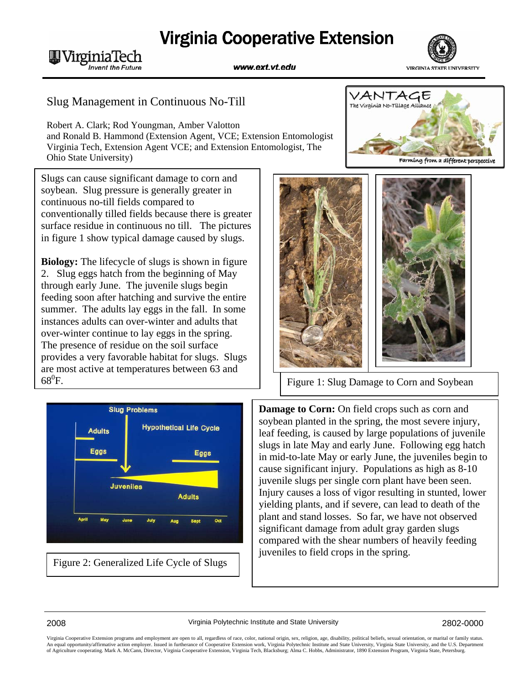## **Virginia Cooperative Extension**





## Slug Management in Continuous No-Till

**MVirginiaTech** 

**Invent the Future** 

Robert A. Clark; Rod Youngman, Amber Valotton and Ronald B. Hammond (Extension Agent, VCE; Extension Entomologist Virginia Tech, Extension Agent VCE; and Extension Entomologist, The Ohio State University)

1 Slugs can cause significant damage to corn and soybean. Slug pressure is generally greater in continuous no-till fields compared to conventionally tilled fields because there is greater surface residue in continuous no till. The pictures in figure 1 show typical damage caused by slugs.

**Biology:** The lifecycle of slugs is shown in figure 2. Slug eggs hatch from the beginning of May through early June. The juvenile slugs begin feeding soon after hatching and survive the entire summer. The adults lay eggs in the fall. In some instances adults can over-winter and adults that over-winter continue to lay eggs in the spring. The presence of residue on the soil surface provides a very favorable habitat for slugs. Slugs are most active at temperatures between 63 and  $68^0$ F.



Figure 2: Generalized Life Cycle of Slugs





Figure 1: Slug Damage to Corn and Soybean

**Damage to Corn:** On field crops such as corn and soybean planted in the spring, the most severe injury, leaf feeding, is caused by large populations of juvenile slugs in late May and early June. Following egg hatch in mid-to-late May or early June, the juveniles begin to cause significant injury. Populations as high as 8-10 juvenile slugs per single corn plant have been seen. Injury causes a loss of vigor resulting in stunted, lower yielding plants, and if severe, can lead to death of the plant and stand losses. So far, we have not observed significant damage from adult gray garden slugs compared with the shear numbers of heavily feeding juveniles to field crops in the spring.

Virginia Cooperative Extension programs and employment are open to all, regardless of race, color, national origin, sex, religion, age, disability, political beliefs, sexual orientation, or marital or family status. An equal opportunity/affirmative action employer. Issued in furtherance of Cooperative Extension work, Virginia Polytechnic Institute and State University, Virginia State University, and the U.S. Department<br>of Agriculture